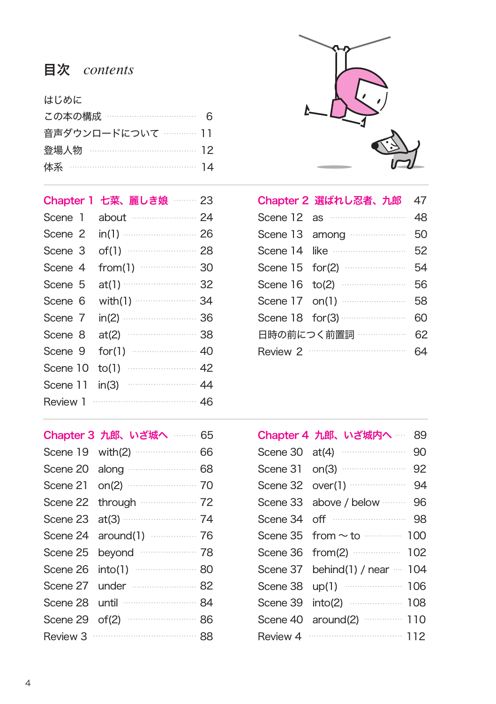## 目次 *contents*

| はじめに                    |  |
|-------------------------|--|
| この本の構成 …………………………… 6    |  |
| 音声ダウンロードについて ………… 11    |  |
| 登場人物 ………………………………… 12   |  |
| 体系 …………………………………………… 14 |  |
|                         |  |

| Chapter 1 | 七菜、麗しき娘 ―― 23       |  |
|-----------|---------------------|--|
| Scene 1   | about 24            |  |
| Scene 2   | $in(1)$ 26          |  |
| Scene 3   | of(1) $\cdots$ 28   |  |
| Scene 4   | from(1) $\cdots$ 30 |  |
| Scene 5   | $at(1)$ 32          |  |
| Scene 6   |                     |  |
| Scene 7   | $in(2)$ 36          |  |
| Scene 8   | at(2)               |  |
| Scene 9   | $for(1)$ 40         |  |
| Scene 10  | to(1)               |  |
| Scene 11  | in(3)               |  |
| Review 1  | $\cdots$ 46         |  |

|          | Chapter 3 九郎、いざ城へ ……… 65 |    |
|----------|--------------------------|----|
| Scene 19 |                          | 66 |
| Scene 20 | along 68                 |    |
| Scene 21 | on(2) 70                 |    |
| Scene 22 | through 22               |    |
| Scene 23 | $at(3)$ 74               |    |
| Scene 24 | around(1) 26             |    |
| Scene 25 | beyond 28                |    |
| Scene 26 |                          |    |
| Scene 27 | under  82                |    |
| Scene 28 | until <b>64</b>          |    |
| Scene 29 | of(2) $\cdots$ 86        |    |
| Review 3 |                          |    |



|          | Chapter 2 選ばれし忍者、九郎              | 47 |
|----------|----------------------------------|----|
|          | Scene $12$ as $\cdots$           | 48 |
|          | Scene 13 among                   | 50 |
|          | Scene 14 like <b>Constanting</b> | 52 |
|          |                                  | 54 |
|          |                                  | 56 |
|          | Scene 17 on(1)                   | 58 |
|          | Scene $18$ for (3) $\cdots$      | 60 |
|          | 日時の前につく前置詞 ………………                | 62 |
| Review 2 |                                  |    |

|          | Chapter 4 九郎、いざ城内へ ……<br>89     |
|----------|---------------------------------|
| Scene 30 | 90<br>at(4)                     |
|          | 92                              |
|          | Scene 32 over(1) $\cdots$<br>94 |
| Scene 33 | above / below ········ 96       |
| Scene 34 |                                 |
| Scene 35 | from $\sim$ to $\cdots$ 100     |
| Scene 36 | from(2) $\cdots$ 102            |
| Scene 37 | behind(1) / near $-104$         |
| Scene 38 | up(1) 2006                      |
| Scene 39 | into(2) 2008                    |
| Scene 40 |                                 |
| Review 4 |                                 |